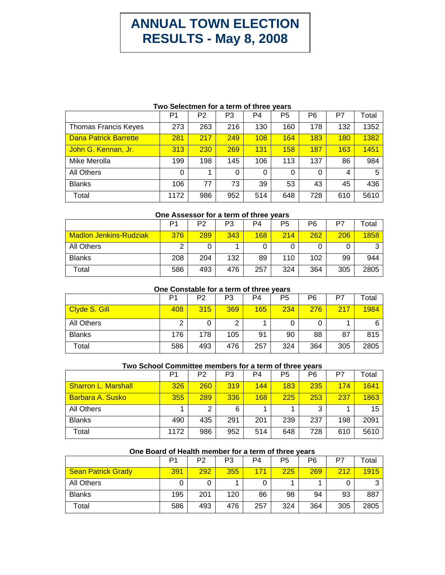# **ANNUAL TOWN ELECTION RESULTS - May 8, 2008**

## **Two Selectmen for a term of three years**

|                              | P <sub>1</sub> | P <sub>2</sub> | P3  | P4  | P <sub>5</sub> | P <sub>6</sub> | P7  | Total |
|------------------------------|----------------|----------------|-----|-----|----------------|----------------|-----|-------|
| <b>Thomas Francis Keyes</b>  | 273            | 263            | 216 | 130 | 160            | 178            | 132 | 1352  |
| <b>Dana Patrick Barrette</b> | 281            | 217            | 249 | 108 | 164            | 183            | 180 | 1382  |
| John G. Kennan, Jr.          | 313            | 230            | 269 | 131 | 158            | 187            | 163 | 1451  |
| Mike Merolla                 | 199            | 198            | 145 | 106 | 113            | 137            | 86  | 984   |
| <b>All Others</b>            | $\Omega$       | 4              | 0   | 0   | 0              | 0              | 4   | 5     |
| <b>Blanks</b>                | 106            | 77             | 73  | 39  | 53             | 43             | 45  | 436   |
| Total                        | 1172           | 986            | 952 | 514 | 648            | 728            | 610 | 5610  |

## **One Assessor for a term of three years**

|                               | P1  | P <sub>2</sub> | P3  | P4  | P5  | P6  | P7  | ™otal |
|-------------------------------|-----|----------------|-----|-----|-----|-----|-----|-------|
| <b>Madlon Jenkins-Rudziak</b> | 376 | 289            | 343 | 168 | 214 | 262 | 206 | 1858  |
| All Others                    | ⌒   |                |     | 0   |     |     | 0   | ົ     |
| <b>Blanks</b>                 | 208 | 204            | 132 | 89  | 110 | 102 | 99  | 944   |
| Total                         | 586 | 493            | 476 | 257 | 324 | 364 | 305 | 2805  |

#### **One Constable for a term of three years**

|                   | P1  | P2  | P3  | P <sub>4</sub> | P5  | P <sub>6</sub> | P7  | <sup>-</sup> otal |
|-------------------|-----|-----|-----|----------------|-----|----------------|-----|-------------------|
| Clyde S. Gill     | 408 | 315 | 369 | 165            | 234 | 276            | 217 | 1984              |
| <b>All Others</b> |     |     | ⌒   |                |     |                |     | 6                 |
| <b>Blanks</b>     | 176 | 178 | 105 | 91             | 90  | 88             | 87  | 815               |
| Total             | 586 | 493 | 476 | 257            | 324 | 364            | 305 | 2805              |

#### **Two School Committee members for a term of three years**

|                            | P1   | P <sub>2</sub> | P3  | P4  | P5  | P <sub>6</sub> | P7  | Total |
|----------------------------|------|----------------|-----|-----|-----|----------------|-----|-------|
| <b>Sharron L. Marshall</b> | 326  | 260            | 319 | 144 | 183 | 235            | 174 | 1641  |
| <b>Barbara A. Susko</b>    | 355  | 289            | 336 | 168 | 225 | 253            | 237 | 1863  |
| All Others                 |      | 2              | 6   |     |     | 3              |     | 15    |
| <b>Blanks</b>              | 490  | 435            | 291 | 201 | 239 | 237            | 198 | 2091  |
| Total                      | 1172 | 986            | 952 | 514 | 648 | 728            | 610 | 5610  |

# **One Board of Health member for a term of three years**

|                           | P1  | P2  | P <sub>3</sub> | P4  | P5  | P <sub>6</sub> | P7  | $\tau$ otal |
|---------------------------|-----|-----|----------------|-----|-----|----------------|-----|-------------|
| <b>Sean Patrick Grady</b> | 391 | 292 | 355            | 171 | 225 | 269            | 212 | 1915        |
| All Others                |     |     |                | 0   |     |                |     | ⌒           |
| <b>Blanks</b>             | 195 | 201 | 120            | 86  | 98  | 94             | 93  | 887         |
| Total                     | 586 | 493 | 476            | 257 | 324 | 364            | 305 | 2805        |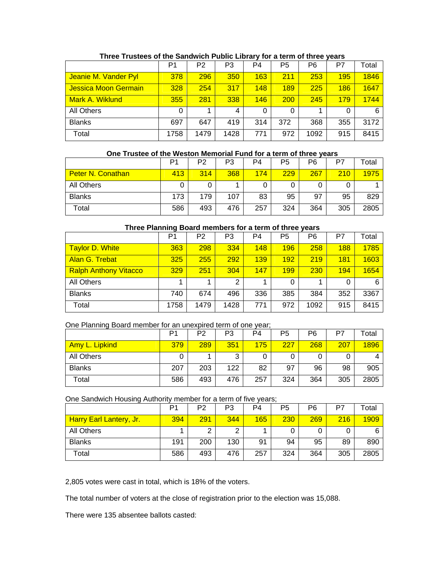|                      | P <sub>1</sub> | P2   | P <sub>3</sub> | P <sub>4</sub> | P <sub>5</sub> | P <sub>6</sub> | P7  | Total |
|----------------------|----------------|------|----------------|----------------|----------------|----------------|-----|-------|
| Jeanie M. Vander Pyl | 378            | 296  | 350            | 163            | 211            | 253            | 195 | 1846  |
| Jessica Moon Germain | 328            | 254  | 317            | 148            | 189            | 225            | 186 | 1647  |
| Mark A. Wiklund      | 355            | 281  | 338            | 146            | 200            | 245            | 179 | 1744  |
| All Others           | 0              |      | 4              | 0              | 0              |                | 0   | 6     |
| <b>Blanks</b>        | 697            | 647  | 419            | 314            | 372            | 368            | 355 | 3172  |
| Total                | 1758           | 1479 | 1428           | 771            | 972            | 1092           | 915 | 8415  |

## **Three Trustees of the Sandwich Public Library for a term of three years**

# **One Trustee of the Weston Memorial Fund for a term of three years**

|                          | P1  | P <sub>2</sub> | P3  | P4  | P5  | P6  | P7  | Total |
|--------------------------|-----|----------------|-----|-----|-----|-----|-----|-------|
| <b>Peter N. Conathan</b> | 413 | 314            | 368 | 174 | 229 | 267 | 210 | 1975  |
| All Others               |     |                |     |     |     |     |     |       |
| <b>Blanks</b>            | 173 | 179            | 107 | 83  | 95  | 97  | 95  | 829   |
| Total                    | 586 | 493            | 476 | 257 | 324 | 364 | 305 | 2805  |

## **Three Planning Board members for a term of three years**

|                              | P <sub>1</sub> | P <sub>2</sub> | P3             | P <sub>4</sub> | P5  | P6   | P7  | Total |
|------------------------------|----------------|----------------|----------------|----------------|-----|------|-----|-------|
| <b>Taylor D. White</b>       | 363            | 298            | 334            | 148            | 196 | 258  | 188 | 1785  |
| Alan G. Trebat               | 325            | 255            | 292            | 139            | 192 | 219  | 181 | 1603  |
| <b>Ralph Anthony Vitacco</b> | 329            | 251            | 304            | 147            | 199 | 230  | 194 | 1654  |
| All Others                   |                |                | $\overline{2}$ |                | 0   |      | 0   | 6     |
| <b>Blanks</b>                | 740            | 674            | 496            | 336            | 385 | 384  | 352 | 3367  |
| Total                        | 1758           | 1479           | 1428           | 771            | 972 | 1092 | 915 | 8415  |

#### One Planning Board member for an unexpired term of one year;

|                |     | P2  | P3  | P4  | P5  | P6  | P7  | $\mathsf{total}$ |
|----------------|-----|-----|-----|-----|-----|-----|-----|------------------|
| Amy L. Lipkind | 379 | 289 | 351 | 175 | 227 | 268 | 207 | 1896             |
| All Others     |     |     | 3   | U   |     |     | 0   | 4                |
| <b>Blanks</b>  | 207 | 203 | 122 | 82  | 97  | 96  | 98  | 905              |
| Total          | 586 | 493 | 476 | 257 | 324 | 364 | 305 | 2805             |

#### One Sandwich Housing Authority member for a term of five years;

|                                | P1  | P <sub>2</sub> | P3  | P4  | P5  | P6  | P7  | ⊺otal |
|--------------------------------|-----|----------------|-----|-----|-----|-----|-----|-------|
| <b>Harry Earl Lantery, Jr.</b> | 394 | 291            | 344 | 165 | 230 | 269 | 216 | 1909  |
| <b>All Others</b>              |     | ⌒              | っ   |     |     |     | 0   | 6     |
| <b>Blanks</b>                  | 191 | 200            | 130 | 91  | 94  | 95  | 89  | 890   |
| Total                          | 586 | 493            | 476 | 257 | 324 | 364 | 305 | 2805  |

2,805 votes were cast in total, which is 18% of the voters.

The total number of voters at the close of registration prior to the election was 15,088.

There were 135 absentee ballots casted: